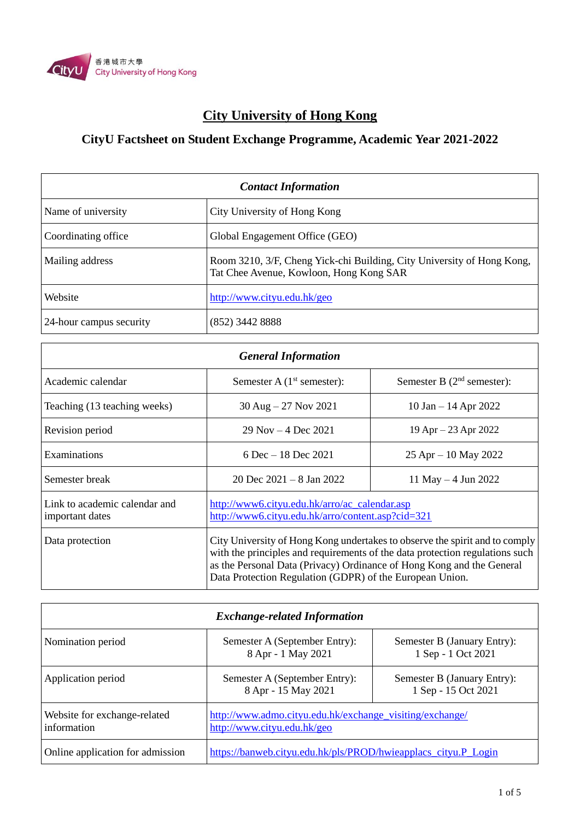

## **City University of Hong Kong**

## **CityU Factsheet on Student Exchange Programme, Academic Year 2021-2022**

| <b>Contact Information</b> |                                                                                                                   |
|----------------------------|-------------------------------------------------------------------------------------------------------------------|
| Name of university         | City University of Hong Kong                                                                                      |
| Coordinating office        | Global Engagement Office (GEO)                                                                                    |
| Mailing address            | Room 3210, 3/F, Cheng Yick-chi Building, City University of Hong Kong,<br>Tat Chee Avenue, Kowloon, Hong Kong SAR |
| Website                    | http://www.cityu.edu.hk/geo                                                                                       |
| 24-hour campus security    | $(852)$ 3442 8888                                                                                                 |

| <b>General Information</b>                       |                                                                                                                                                                                                                                                                                                  |                              |
|--------------------------------------------------|--------------------------------------------------------------------------------------------------------------------------------------------------------------------------------------------------------------------------------------------------------------------------------------------------|------------------------------|
| Academic calendar                                | Semester A $(1st$ semester):                                                                                                                                                                                                                                                                     | Semester B $(2nd$ semester): |
| Teaching (13 teaching weeks)                     | $30$ Aug $-27$ Nov 2021                                                                                                                                                                                                                                                                          | 10 Jan $-$ 14 Apr 2022       |
| Revision period                                  | $29$ Nov $-4$ Dec $2021$                                                                                                                                                                                                                                                                         | $19$ Apr $- 23$ Apr 2022     |
| Examinations                                     | 6 Dec $-18$ Dec 2021                                                                                                                                                                                                                                                                             | $25$ Apr $-10$ May 2022      |
| Semester break                                   | 20 Dec $2021 - 8$ Jan $2022$                                                                                                                                                                                                                                                                     | 11 May $-4$ Jun 2022         |
| Link to academic calendar and<br>important dates | http://www6.cityu.edu.hk/arro/ac_calendar.asp<br>http://www6.cityu.edu.hk/arro/content.asp?cid=321                                                                                                                                                                                               |                              |
| Data protection                                  | City University of Hong Kong undertakes to observe the spirit and to comply<br>with the principles and requirements of the data protection regulations such<br>as the Personal Data (Privacy) Ordinance of Hong Kong and the General<br>Data Protection Regulation (GDPR) of the European Union. |                              |

| <b>Exchange-related Information</b>         |                                                                                         |                                                    |
|---------------------------------------------|-----------------------------------------------------------------------------------------|----------------------------------------------------|
| Nomination period                           | Semester A (September Entry):<br>8 Apr - 1 May 2021                                     | Semester B (January Entry):<br>1 Sep - 1 Oct 2021  |
| Application period                          | Semester A (September Entry):<br>8 Apr - 15 May 2021                                    | Semester B (January Entry):<br>1 Sep - 15 Oct 2021 |
| Website for exchange-related<br>information | http://www.admo.cityu.edu.hk/exchange_visiting/exchange/<br>http://www.cityu.edu.hk/geo |                                                    |
| Online application for admission            | https://banweb.cityu.edu.hk/pls/PROD/hwieapplacs_cityu.P_Login                          |                                                    |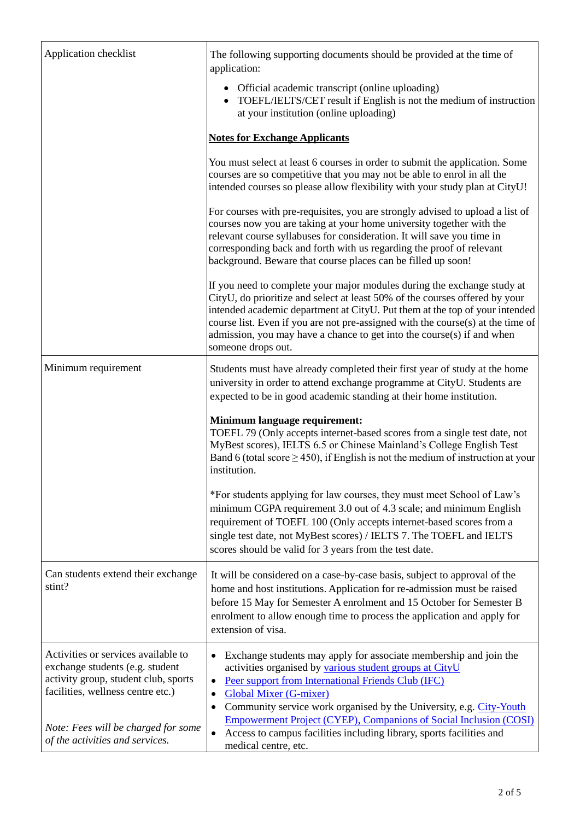| Application checklist                                                                                                                               | The following supporting documents should be provided at the time of<br>application:                                                                                                                                                                                                                                                                                                                                        |
|-----------------------------------------------------------------------------------------------------------------------------------------------------|-----------------------------------------------------------------------------------------------------------------------------------------------------------------------------------------------------------------------------------------------------------------------------------------------------------------------------------------------------------------------------------------------------------------------------|
|                                                                                                                                                     | Official academic transcript (online uploading)<br>TOEFL/IELTS/CET result if English is not the medium of instruction<br>at your institution (online uploading)                                                                                                                                                                                                                                                             |
|                                                                                                                                                     | <b>Notes for Exchange Applicants</b>                                                                                                                                                                                                                                                                                                                                                                                        |
|                                                                                                                                                     | You must select at least 6 courses in order to submit the application. Some<br>courses are so competitive that you may not be able to enrol in all the<br>intended courses so please allow flexibility with your study plan at CityU!                                                                                                                                                                                       |
|                                                                                                                                                     | For courses with pre-requisites, you are strongly advised to upload a list of<br>courses now you are taking at your home university together with the<br>relevant course syllabuses for consideration. It will save you time in<br>corresponding back and forth with us regarding the proof of relevant<br>background. Beware that course places can be filled up soon!                                                     |
|                                                                                                                                                     | If you need to complete your major modules during the exchange study at<br>CityU, do prioritize and select at least 50% of the courses offered by your<br>intended academic department at CityU. Put them at the top of your intended<br>course list. Even if you are not pre-assigned with the course(s) at the time of<br>admission, you may have a chance to get into the course $(s)$ if and when<br>someone drops out. |
| Minimum requirement                                                                                                                                 | Students must have already completed their first year of study at the home<br>university in order to attend exchange programme at CityU. Students are<br>expected to be in good academic standing at their home institution.                                                                                                                                                                                                |
|                                                                                                                                                     | Minimum language requirement:<br>TOEFL 79 (Only accepts internet-based scores from a single test date, not<br>MyBest scores), IELTS 6.5 or Chinese Mainland's College English Test<br>Band 6 (total score $\geq$ 450), if English is not the medium of instruction at your<br>institution.                                                                                                                                  |
|                                                                                                                                                     | *For students applying for law courses, they must meet School of Law's<br>minimum CGPA requirement 3.0 out of 4.3 scale; and minimum English<br>requirement of TOEFL 100 (Only accepts internet-based scores from a<br>single test date, not MyBest scores) / IELTS 7. The TOEFL and IELTS<br>scores should be valid for 3 years from the test date.                                                                        |
| Can students extend their exchange<br>stint?                                                                                                        | It will be considered on a case-by-case basis, subject to approval of the<br>home and host institutions. Application for re-admission must be raised<br>before 15 May for Semester A enrolment and 15 October for Semester B<br>enrolment to allow enough time to process the application and apply for<br>extension of visa.                                                                                               |
| Activities or services available to<br>exchange students (e.g. student<br>activity group, student club, sports<br>facilities, wellness centre etc.) | Exchange students may apply for associate membership and join the<br>activities organised by various student groups at CityU<br>Peer support from International Friends Club (IFC)<br>$\bullet$<br><b>Global Mixer (G-mixer)</b><br>$\bullet$<br>Community service work organised by the University, e.g. City-Youth<br><b>Empowerment Project (CYEP), Companions of Social Inclusion (COSI)</b>                            |
| Note: Fees will be charged for some<br>of the activities and services.                                                                              | Access to campus facilities including library, sports facilities and<br>$\bullet$<br>medical centre, etc.                                                                                                                                                                                                                                                                                                                   |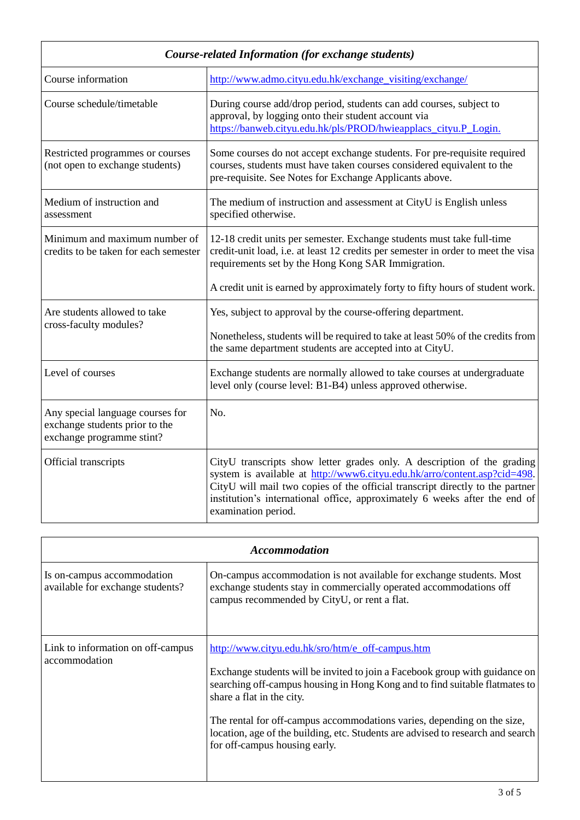| Course-related Information (for exchange students)                                              |                                                                                                                                                                                                                                                                                                                                            |  |
|-------------------------------------------------------------------------------------------------|--------------------------------------------------------------------------------------------------------------------------------------------------------------------------------------------------------------------------------------------------------------------------------------------------------------------------------------------|--|
| Course information                                                                              | http://www.admo.cityu.edu.hk/exchange_visiting/exchange/                                                                                                                                                                                                                                                                                   |  |
| Course schedule/timetable                                                                       | During course add/drop period, students can add courses, subject to<br>approval, by logging onto their student account via<br>https://banweb.cityu.edu.hk/pls/PROD/hwieapplacs_cityu.P_Login.                                                                                                                                              |  |
| Restricted programmes or courses<br>(not open to exchange students)                             | Some courses do not accept exchange students. For pre-requisite required<br>courses, students must have taken courses considered equivalent to the<br>pre-requisite. See Notes for Exchange Applicants above.                                                                                                                              |  |
| Medium of instruction and<br>assessment                                                         | The medium of instruction and assessment at CityU is English unless<br>specified otherwise.                                                                                                                                                                                                                                                |  |
| Minimum and maximum number of<br>credits to be taken for each semester                          | 12-18 credit units per semester. Exchange students must take full-time<br>credit-unit load, i.e. at least 12 credits per semester in order to meet the visa<br>requirements set by the Hong Kong SAR Immigration.                                                                                                                          |  |
|                                                                                                 | A credit unit is earned by approximately forty to fifty hours of student work.                                                                                                                                                                                                                                                             |  |
| Are students allowed to take<br>cross-faculty modules?                                          | Yes, subject to approval by the course-offering department.                                                                                                                                                                                                                                                                                |  |
|                                                                                                 | Nonetheless, students will be required to take at least 50% of the credits from<br>the same department students are accepted into at CityU.                                                                                                                                                                                                |  |
| Level of courses                                                                                | Exchange students are normally allowed to take courses at undergraduate<br>level only (course level: B1-B4) unless approved otherwise.                                                                                                                                                                                                     |  |
| Any special language courses for<br>exchange students prior to the<br>exchange programme stint? | No.                                                                                                                                                                                                                                                                                                                                        |  |
| Official transcripts                                                                            | CityU transcripts show letter grades only. A description of the grading<br>system is available at http://www6.cityu.edu.hk/arro/content.asp?cid=498.<br>CityU will mail two copies of the official transcript directly to the partner<br>institution's international office, approximately 6 weeks after the end of<br>examination period. |  |

| <b>Accommodation</b>                                           |                                                                                                                                                                                                                                                                                                                                                                                                                                            |  |
|----------------------------------------------------------------|--------------------------------------------------------------------------------------------------------------------------------------------------------------------------------------------------------------------------------------------------------------------------------------------------------------------------------------------------------------------------------------------------------------------------------------------|--|
| Is on-campus accommodation<br>available for exchange students? | On-campus accommodation is not available for exchange students. Most<br>exchange students stay in commercially operated accommodations off<br>campus recommended by CityU, or rent a flat.                                                                                                                                                                                                                                                 |  |
| Link to information on off-campus<br>accommodation             | http://www.cityu.edu.hk/sro/htm/e_off-campus.htm<br>Exchange students will be invited to join a Facebook group with guidance on<br>searching off-campus housing in Hong Kong and to find suitable flatmates to<br>share a flat in the city.<br>The rental for off-campus accommodations varies, depending on the size,<br>location, age of the building, etc. Students are advised to research and search<br>for off-campus housing early. |  |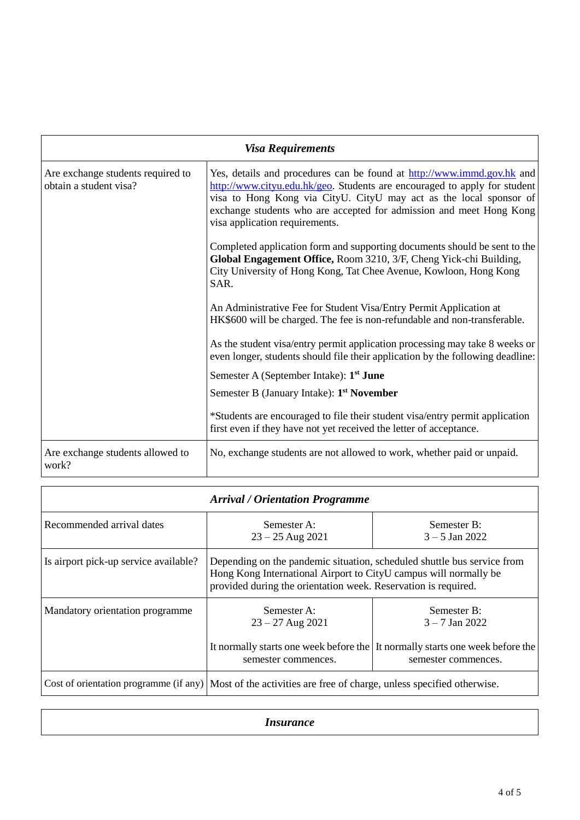| <b>Visa Requirements</b>                                    |                                                                                                                                                                                                                                                                                                                                    |
|-------------------------------------------------------------|------------------------------------------------------------------------------------------------------------------------------------------------------------------------------------------------------------------------------------------------------------------------------------------------------------------------------------|
| Are exchange students required to<br>obtain a student visa? | Yes, details and procedures can be found at http://www.immd.gov.hk and<br>http://www.cityu.edu.hk/geo. Students are encouraged to apply for student<br>visa to Hong Kong via CityU. CityU may act as the local sponsor of<br>exchange students who are accepted for admission and meet Hong Kong<br>visa application requirements. |
|                                                             | Completed application form and supporting documents should be sent to the<br>Global Engagement Office, Room 3210, 3/F, Cheng Yick-chi Building,<br>City University of Hong Kong, Tat Chee Avenue, Kowloon, Hong Kong<br>SAR.                                                                                                       |
|                                                             | An Administrative Fee for Student Visa/Entry Permit Application at<br>HK\$600 will be charged. The fee is non-refundable and non-transferable.                                                                                                                                                                                     |
|                                                             | As the student visa/entry permit application processing may take 8 weeks or<br>even longer, students should file their application by the following deadline:                                                                                                                                                                      |
|                                                             | Semester A (September Intake): 1 <sup>st</sup> June                                                                                                                                                                                                                                                                                |
|                                                             | Semester B (January Intake): 1 <sup>st</sup> November                                                                                                                                                                                                                                                                              |
|                                                             | *Students are encouraged to file their student visa/entry permit application<br>first even if they have not yet received the letter of acceptance.                                                                                                                                                                                 |
| Are exchange students allowed to<br>work?                   | No, exchange students are not allowed to work, whether paid or unpaid.                                                                                                                                                                                                                                                             |

| <b>Arrival / Orientation Programme</b> |                                                                                                                                                                                                               |                                                                                                                                         |
|----------------------------------------|---------------------------------------------------------------------------------------------------------------------------------------------------------------------------------------------------------------|-----------------------------------------------------------------------------------------------------------------------------------------|
| Recommended arrival dates              | Semester A:<br>$23 - 25$ Aug 2021                                                                                                                                                                             | Semester B:<br>$3 - 5$ Jan 2022                                                                                                         |
| Is airport pick-up service available?  | Depending on the pandemic situation, scheduled shuttle bus service from<br>Hong Kong International Airport to CityU campus will normally be<br>provided during the orientation week. Reservation is required. |                                                                                                                                         |
| Mandatory orientation programme        | Semester A:<br>$23 - 27$ Aug 2021<br>semester commences.                                                                                                                                                      | Semester B:<br>$3 - 7$ Jan 2022<br>It normally starts one week before the It normally starts one week before the<br>semester commences. |
|                                        | Cost of orientation programme (if any) Most of the activities are free of charge, unless specified otherwise.                                                                                                 |                                                                                                                                         |

*Insurance*